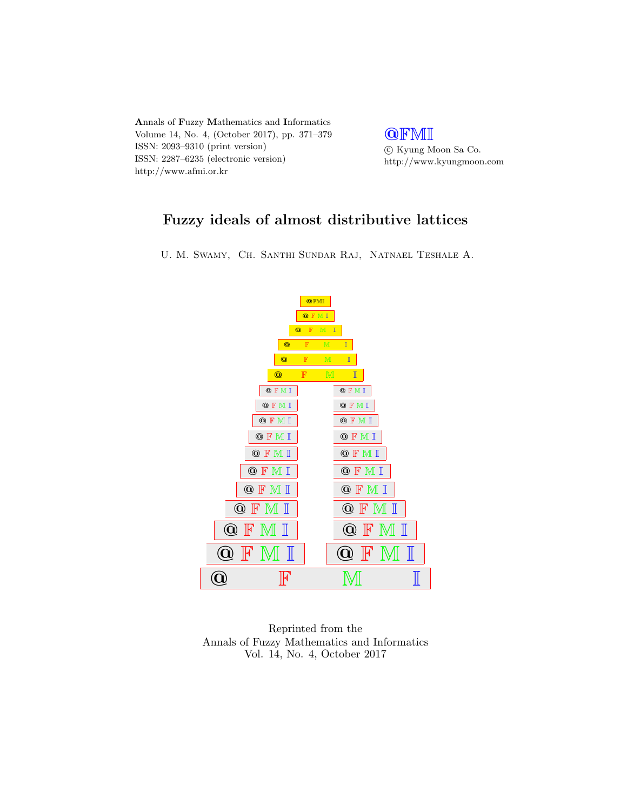

**QFMI**  $\odot$ Kyung Moon Sa Co. http://www.kyungmoon.com

# Fuzzy ideals of almost distributive lattices

U. M. Swamy, Ch. Santhi Sundar Raj, Natnael Teshale A.



Reprinted from the Annals of Fuzzy Mathematics and Informatics Vol. 14, No. 4, October 2017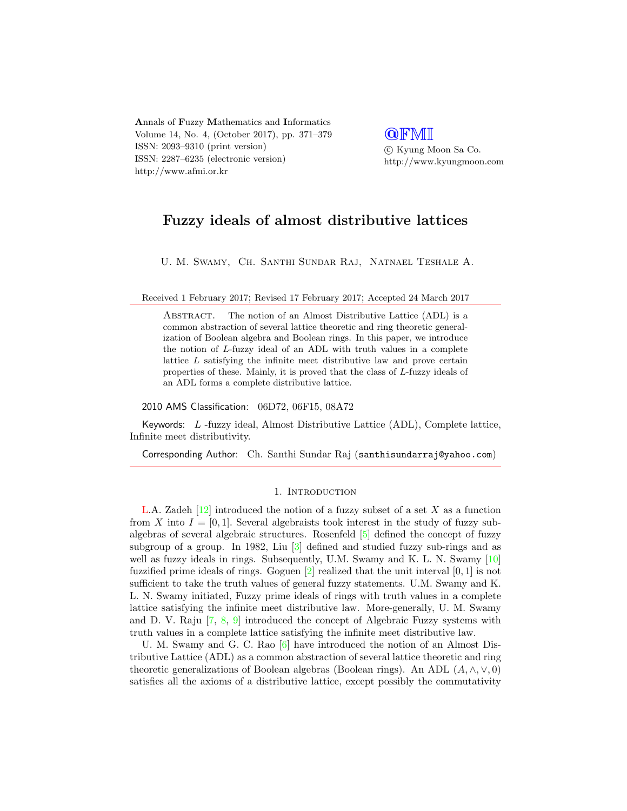Annals of Fuzzy Mathematics and Informatics Volume 14, No. 4, (October 2017), pp. 371–379 ISSN: 2093–9310 (print version) ISSN: 2287–6235 (electronic version) http://www.afmi.or.kr

**QFMI**  c Kyung Moon Sa Co. http://www.kyungmoon.com

## Fuzzy ideals of almost distributive lattices

U. M. Swamy, Ch. Santhi Sundar Raj, Natnael Teshale A.

Received 1 February 2017; Revised 17 February 2017; Accepted 24 March 2017

ABSTRACT. The notion of an Almost Distributive Lattice (ADL) is a common abstraction of several lattice theoretic and ring theoretic generalization of Boolean algebra and Boolean rings. In this paper, we introduce the notion of L-fuzzy ideal of an ADL with truth values in a complete lattice  $L$  satisfying the infinite meet distributive law and prove certain properties of these. Mainly, it is proved that the class of L-fuzzy ideals of an ADL forms a complete distributive lattice.

2010 AMS Classification: 06D72, 06F15, 08A72

Keywords: L -fuzzy ideal, Almost Distributive Lattice (ADL), Complete lattice, Infinite meet distributivity.

Corresponding Author: Ch. Santhi Sundar Raj (santhisundarraj@yahoo.com)

#### 1. INTRODUCTION

L.A. Zadeh [\[12\]](#page-9-0) introduced the notion of a fuzzy subset of a set X as a function from X into  $I = [0, 1]$ . Several algebraists took interest in the study of fuzzy subalgebras of several algebraic structures. Rosenfeld [\[5\]](#page-9-1) defined the concept of fuzzy subgroup of a group. In 1982, Liu [\[3\]](#page-9-2) defined and studied fuzzy sub-rings and as well as fuzzy ideals in rings. Subsequently, U.M. Swamy and K. L. N. Swamy [\[10\]](#page-9-3) fuzzified prime ideals of rings. Goguen  $[2]$  realized that the unit interval  $[0, 1]$  is not sufficient to take the truth values of general fuzzy statements. U.M. Swamy and K. L. N. Swamy initiated, Fuzzy prime ideals of rings with truth values in a complete lattice satisfying the infinite meet distributive law. More-generally, U. M. Swamy and D. V. Raju [\[7,](#page-9-5) [8,](#page-9-6) [9\]](#page-9-7) introduced the concept of Algebraic Fuzzy systems with truth values in a complete lattice satisfying the infinite meet distributive law.

U. M. Swamy and G. C. Rao [\[6\]](#page-9-8) have introduced the notion of an Almost Distributive Lattice (ADL) as a common abstraction of several lattice theoretic and ring theoretic generalizations of Boolean algebras (Boolean rings). An ADL  $(A, \wedge, \vee, 0)$ satisfies all the axioms of a distributive lattice, except possibly the commutativity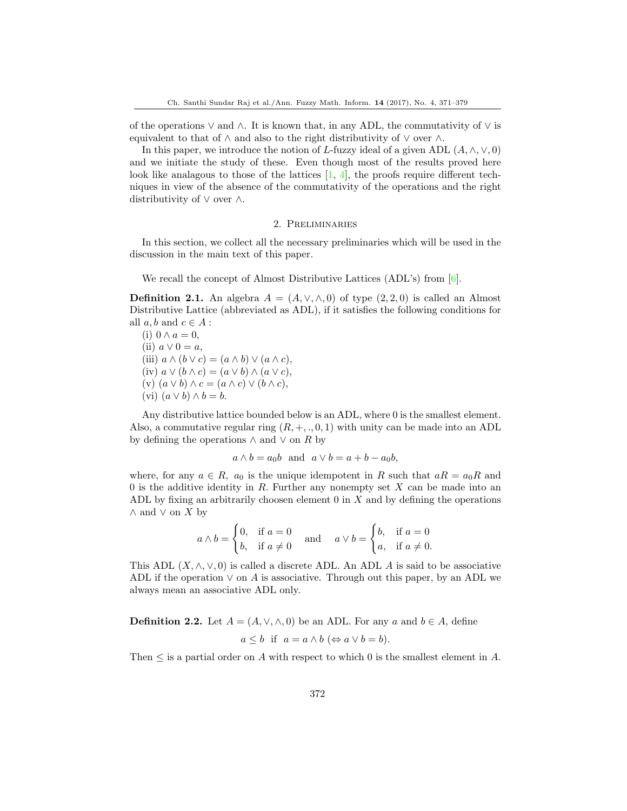of the operations  $\vee$  and  $\wedge$ . It is known that, in any ADL, the commutativity of  $\vee$  is equivalent to that of  $\wedge$  and also to the right distributivity of  $\vee$  over  $\wedge$ .

In this paper, we introduce the notion of L-fuzzy ideal of a given ADL  $(A, \wedge, \vee, 0)$ and we initiate the study of these. Even though most of the results proved here look like analagous to those of the lattices  $[1, 4]$  $[1, 4]$  $[1, 4]$ , the proofs require different techniques in view of the absence of the commutativity of the operations and the right distributivity of ∨ over ∧.

#### 2. Preliminaries

In this section, we collect all the necessary preliminaries which will be used in the discussion in the main text of this paper.

We recall the concept of Almost Distributive Lattices (ADL's) from [\[6\]](#page-9-8).

**Definition 2.1.** An algebra  $A = (A, \vee, \wedge, 0)$  of type  $(2, 2, 0)$  is called an Almost Distributive Lattice (abbreviated as ADL), if it satisfies the following conditions for all  $a, b$  and  $c \in A$ :

(i)  $0 \wedge a = 0$ , (ii)  $a \vee 0 = a$ , (iii)  $a \wedge (b \vee c) = (a \wedge b) \vee (a \wedge c),$ (iv)  $a \vee (b \wedge c) = (a \vee b) \wedge (a \vee c),$ (v)  $(a \vee b) \wedge c = (a \wedge c) \vee (b \wedge c),$ (vi)  $(a \vee b) \wedge b = b$ .

Any distributive lattice bounded below is an ADL, where 0 is the smallest element. Also, a commutative regular ring  $(R, +, \ldots, 0, 1)$  with unity can be made into an ADL by defining the operations  $\wedge$  and  $\vee$  on R by

$$
a \wedge b = a_0b
$$
 and  $a \vee b = a + b - a_0b$ ,

where, for any  $a \in R$ ,  $a_0$  is the unique idempotent in R such that  $aR = a_0R$  and 0 is the additive identity in  $R$ . Further any nonempty set  $X$  can be made into an ADL by fixing an arbitrarily choosen element  $0$  in  $X$  and by defining the operations  $\wedge$  and  $\vee$  on X by

$$
a \wedge b = \begin{cases} 0, & \text{if } a = 0 \\ b, & \text{if } a \neq 0 \end{cases} \quad \text{and} \quad a \vee b = \begin{cases} b, & \text{if } a = 0 \\ a, & \text{if } a \neq 0. \end{cases}
$$

This ADL  $(X, \wedge, \vee, 0)$  is called a discrete ADL. An ADL A is said to be associative ADL if the operation  $\vee$  on A is associative. Through out this paper, by an ADL we always mean an associative ADL only.

**Definition 2.2.** Let  $A = (A, \vee, \wedge, 0)$  be an ADL. For any a and  $b \in A$ , define

$$
a \leq b
$$
 if  $a = a \land b \Leftrightarrow a \lor b = b$ ).

Then  $\leq$  is a partial order on A with respect to which 0 is the smallest element in A.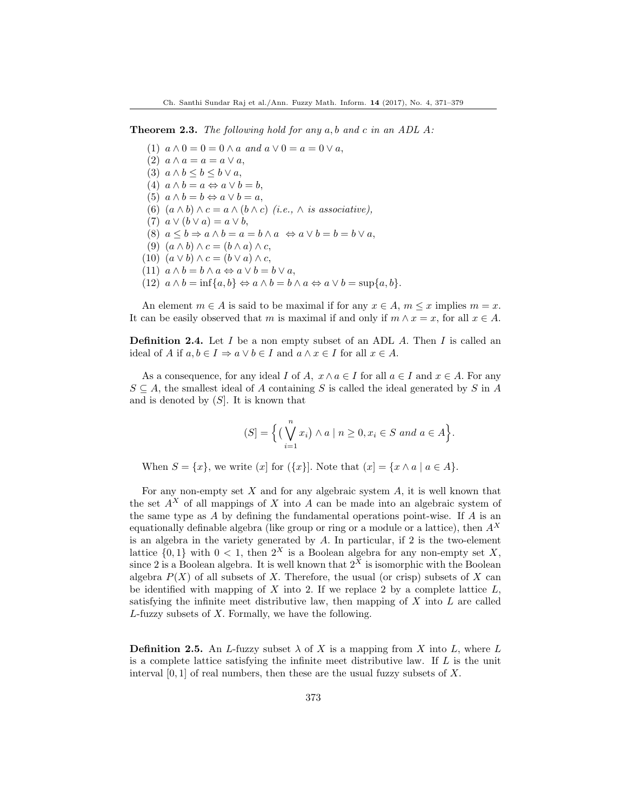Theorem 2.3. The following hold for any a, b and c in an ADL A:

(1)  $a \wedge 0 = 0 = 0 \wedge a$  and  $a \vee 0 = a = 0 \vee a$ , (2)  $a \wedge a = a = a \vee a$ , (3)  $a \wedge b \leq b \leq b \vee a$ , (4)  $a \wedge b = a \Leftrightarrow a \vee b = b$ , (5)  $a \wedge b = b \Leftrightarrow a \vee b = a$ , (6)  $(a \wedge b) \wedge c = a \wedge (b \wedge c)$  (i.e.,  $\wedge$  is associative), (7)  $a \vee (b \vee a) = a \vee b$ , (8)  $a < b \Rightarrow a \wedge b = a = b \wedge a \Leftrightarrow a \vee b = b = b \vee a$ , (9)  $(a \wedge b) \wedge c = (b \wedge a) \wedge c$ , (10)  $(a \vee b) \wedge c = (b \vee a) \wedge c$ , (11)  $a \wedge b = b \wedge a \Leftrightarrow a \vee b = b \vee a$ , (12)  $a \wedge b = \inf\{a, b\} \Leftrightarrow a \wedge b = b \wedge a \Leftrightarrow a \vee b = \sup\{a, b\}.$ 

An element  $m \in A$  is said to be maximal if for any  $x \in A$ ,  $m \leq x$  implies  $m = x$ . It can be easily observed that m is maximal if and only if  $m \wedge x = x$ , for all  $x \in A$ .

**Definition 2.4.** Let I be a non empty subset of an ADL A. Then I is called an ideal of A if  $a, b \in I \Rightarrow a \lor b \in I$  and  $a \land x \in I$  for all  $x \in A$ .

As a consequence, for any ideal I of A,  $x \wedge a \in I$  for all  $a \in I$  and  $x \in A$ . For any  $S \subseteq A$ , the smallest ideal of A containing S is called the ideal generated by S in A and is denoted by  $(S)$ . It is known that

$$
(S] = \Big\{ \big(\bigvee_{i=1}^{n} x_i\big) \wedge a \mid n \ge 0, x_i \in S \text{ and } a \in A \Big\}.
$$

When  $S = \{x\}$ , we write  $(x]$  for  $(\{x\}]$ . Note that  $(x] = \{x \land a \mid a \in A\}$ .

For any non-empty set  $X$  and for any algebraic system  $A$ , it is well known that the set  $A^X$  of all mappings of X into A can be made into an algebraic system of the same type as  $\tilde{A}$  by defining the fundamental operations point-wise. If  $\tilde{A}$  is an equationally definable algebra (like group or ring or a module or a lattice), then  $A<sup>X</sup>$ is an algebra in the variety generated by A. In particular, if 2 is the two-element lattice  $\{0, 1\}$  with  $0 < 1$ , then  $2^X$  is a Boolean algebra for any non-empty set X, since 2 is a Boolean algebra. It is well known that  $2^{\tilde{X}}$  is isomorphic with the Boolean algebra  $P(X)$  of all subsets of X. Therefore, the usual (or crisp) subsets of X can be identified with mapping of  $X$  into 2. If we replace 2 by a complete lattice  $L$ , satisfying the infinite meet distributive law, then mapping of  $X$  into  $L$  are called  $L$ -fuzzy subsets of  $X$ . Formally, we have the following.

**Definition 2.5.** An L-fuzzy subset  $\lambda$  of X is a mapping from X into L, where L is a complete lattice satisfying the infinite meet distributive law. If  $L$  is the unit interval  $[0, 1]$  of real numbers, then these are the usual fuzzy subsets of X.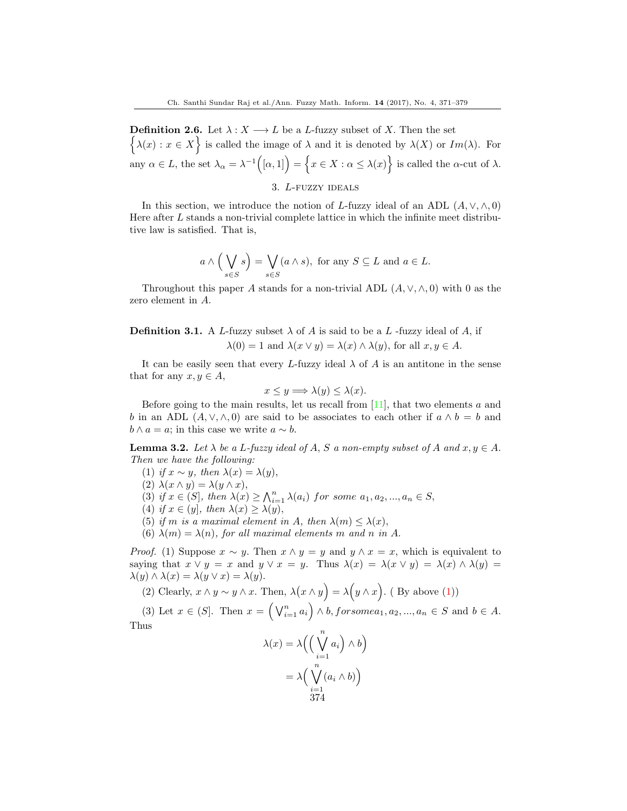**Definition 2.6.** Let  $\lambda : X \longrightarrow L$  be a L-fuzzy subset of X. Then the set  $\{\lambda(x): x \in X\}$  is called the image of  $\lambda$  and it is denoted by  $\lambda(X)$  or  $Im(\lambda)$ . For any  $\alpha \in L$ , the set  $\lambda_{\alpha} = \lambda^{-1}([\alpha,1]) = \{x \in X : \alpha \leq \lambda(x)\}$  is called the  $\alpha$ -cut of  $\lambda$ .

3. L-fuzzy ideals

In this section, we introduce the notion of L-fuzzy ideal of an ADL  $(A, \vee, \wedge, 0)$ Here after L stands a non-trivial complete lattice in which the infinite meet distributive law is satisfied. That is,

$$
a \wedge \left(\bigvee_{s \in S} s\right) = \bigvee_{s \in S} (a \wedge s)
$$
, for any  $S \subseteq L$  and  $a \in L$ .

Throughout this paper A stands for a non-trivial ADL  $(A, \vee, \wedge, 0)$  with 0 as the zero element in A.

**Definition 3.1.** A L-fuzzy subset  $\lambda$  of A is said to be a L-fuzzy ideal of A, if  $\lambda(0) = 1$  and  $\lambda(x \vee y) = \lambda(x) \wedge \lambda(y)$ , for all  $x, y \in A$ .

It can be easily seen that every L-fuzzy ideal  $\lambda$  of A is an antitone in the sense that for any  $x, y \in A$ ,

$$
x \le y \Longrightarrow \lambda(y) \le \lambda(x).
$$

Before going to the main results, let us recall from  $[11]$ , that two elements a and b in an ADL  $(A, \vee, \wedge, 0)$  are said to be associates to each other if  $a \wedge b = b$  and  $b \wedge a = a$ ; in this case we write  $a \sim b$ .

**Lemma 3.2.** Let  $\lambda$  be a L-fuzzy ideal of A, S a non-empty subset of A and  $x, y \in A$ . Then we have the following:

- (1) if  $x \sim y$ , then  $\lambda(x) = \lambda(y)$ ,
- (2)  $\lambda(x \wedge y) = \lambda(y \wedge x)$ ,
- (3) if  $x \in (S]$ , then  $\lambda(x) \geq \bigwedge_{i=1}^{n} \lambda(a_i)$  for some  $a_1, a_2, ..., a_n \in S$ ,
- (4) if  $x \in (y]$ , then  $\lambda(x) \geq \lambda(y)$ ,
- (5) if m is a maximal element in A, then  $\lambda(m) \leq \lambda(x)$ ,
- (6)  $\lambda(m) = \lambda(n)$ , for all maximal elements m and n in A.

*Proof.* (1) Suppose  $x \sim y$ . Then  $x \wedge y = y$  and  $y \wedge x = x$ , which is equivalent to saying that  $x \vee y = x$  and  $y \vee x = y$ . Thus  $\lambda(x) = \lambda(x \vee y) = \lambda(x) \wedge \lambda(y) =$  $\lambda(y) \wedge \lambda(x) = \lambda(y \vee x) = \lambda(y).$ 

(2) Clearly,  $x \wedge y \sim y \wedge x$ . Then,  $\lambda(x \wedge y) = \lambda(y \wedge x)$ . (By above (1))

(3) Let  $x \in (S]$ . Then  $x = \left(\bigvee_{i=1}^{n} a_i\right) \wedge b$ , for some  $a_1, a_2, ..., a_n \in S$  and  $b \in A$ . Thus

$$
\lambda(x) = \lambda \left( \left( \bigvee_{i=1}^{n} a_i \right) \wedge b \right)
$$

$$
= \lambda \left( \bigvee_{i=1}^{n} (a_i \wedge b) \right)
$$

$$
374
$$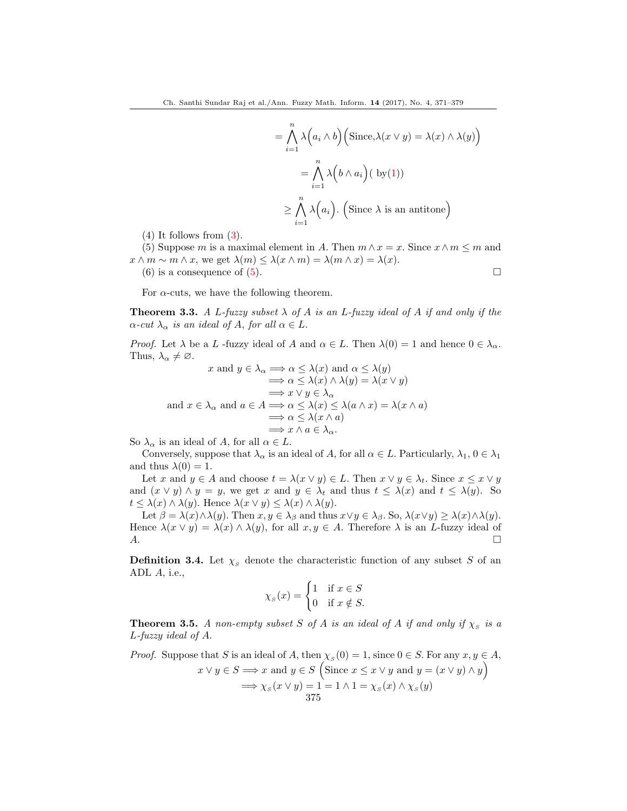$$
= \bigwedge_{i=1}^{n} \lambda (a_i \wedge b) \Big( \text{Since, } \lambda(x \vee y) = \lambda(x) \wedge \lambda(y) \Big)
$$

$$
= \bigwedge_{i=1}^{n} \lambda (b \wedge a_i) (\text{ by (1)})
$$

$$
\geq \bigwedge_{i=1}^{n} \lambda (a_i). \Big( \text{Since } \lambda \text{ is an antitone} \Big)
$$

 $(4)$  It follows from  $(3)$ .

(5) Suppose m is a maximal element in A. Then  $m \wedge x = x$ . Since  $x \wedge m \leq m$  and  $x \wedge m \sim m \wedge x$ , we get  $\lambda(m) \leq \lambda(x \wedge m) = \lambda(m \wedge x) = \lambda(x)$ .

(6) is a consequence of  $(5)$ .

For  $\alpha$ -cuts, we have the following theorem.

**Theorem 3.3.** A L-fuzzy subset  $\lambda$  of A is an L-fuzzy ideal of A if and only if the  $\alpha$ -cut  $\lambda_{\alpha}$  is an ideal of A, for all  $\alpha \in L$ .

*Proof.* Let  $\lambda$  be a L -fuzzy ideal of A and  $\alpha \in L$ . Then  $\lambda(0) = 1$  and hence  $0 \in \lambda_{\alpha}$ . Thus,  $\lambda_{\alpha} \neq \emptyset$ .

$$
x \text{ and } y \in \lambda_{\alpha} \Longrightarrow \alpha \leq \lambda(x) \text{ and } \alpha \leq \lambda(y)
$$

$$
\Longrightarrow \alpha \leq \lambda(x) \land \lambda(y) = \lambda(x \lor y)
$$

$$
\Longrightarrow x \lor y \in \lambda_{\alpha}
$$

$$
\text{and } x \in \lambda_{\alpha} \text{ and } a \in A \Longrightarrow \alpha \leq \lambda(x) \leq \lambda(a \land x) = \lambda(x \land a)
$$

$$
\Longrightarrow \alpha \leq \lambda(x \land a)
$$

$$
\Longrightarrow x \land a \in \lambda_{\alpha}.
$$

So  $\lambda_{\alpha}$  is an ideal of A, for all  $\alpha \in L$ .

Conversely, suppose that  $\lambda_{\alpha}$  is an ideal of A, for all  $\alpha \in L$ . Particularly,  $\lambda_1, 0 \in \lambda_1$ and thus  $\lambda(0) = 1$ .

Let x and  $y \in A$  and choose  $t = \lambda(x \vee y) \in L$ . Then  $x \vee y \in \lambda_t$ . Since  $x \leq x \vee y$ and  $(x \vee y) \wedge y = y$ , we get x and  $y \in \lambda_t$  and thus  $t \leq \lambda(x)$  and  $t \leq \lambda(y)$ . So  $t \leq \lambda(x) \wedge \lambda(y)$ . Hence  $\lambda(x \vee y) \leq \lambda(x) \wedge \lambda(y)$ .

Let  $\beta = \lambda(x) \wedge \lambda(y)$ . Then  $x, y \in \lambda_{\beta}$  and thus  $x \vee y \in \lambda_{\beta}$ . So,  $\lambda(x \vee y) \geq \lambda(x) \wedge \lambda(y)$ . Hence  $\lambda(x \vee y) = \lambda(x) \wedge \lambda(y)$ , for all  $x, y \in A$ . Therefore  $\lambda$  is an *L*-fuzzy ideal of  $A.$ 

**Definition 3.4.** Let  $\chi_s$  denote the characteristic function of any subset S of an ADL A, i.e.,

$$
\chi_s(x) = \begin{cases} 1 & \text{if } x \in S \\ 0 & \text{if } x \notin S. \end{cases}
$$

**Theorem 3.5.** A non-empty subset S of A is an ideal of A if and only if  $\chi_{S}$  is a L-fuzzy ideal of A.

*Proof.* Suppose that S is an ideal of A, then  $\chi_s(0) = 1$ , since  $0 \in S$ . For any  $x, y \in A$ ,  $x \vee y \in S \Longrightarrow x$  and  $y \in S$  (Since  $x \leq x \vee y$  and  $y = (x \vee y) \wedge y$ )  $\implies \chi_{S}(x \vee y) = 1 = 1 \wedge 1 = \chi_{S}(x) \wedge \chi_{S}(y)$ 

375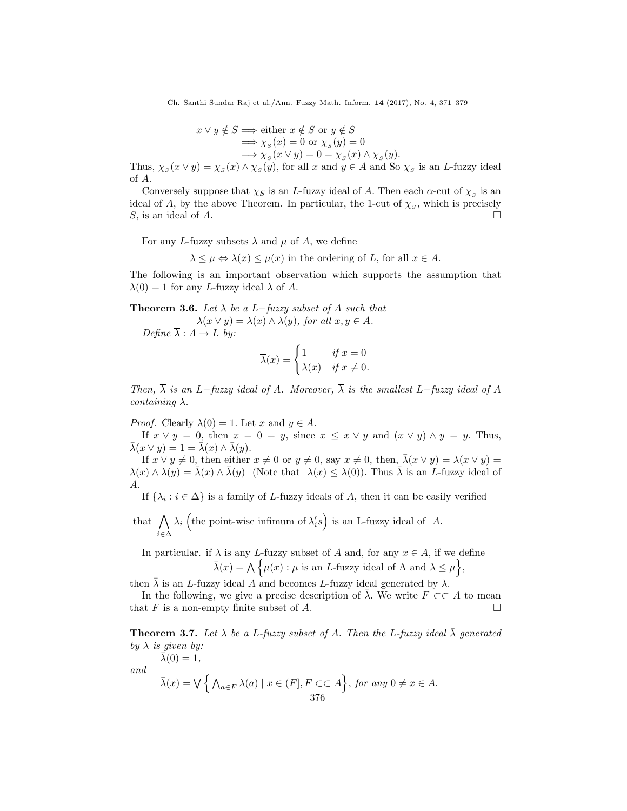$$
x \lor y \notin S \implies \text{either } x \notin S \text{ or } y \notin S
$$
  
\n
$$
\implies \chi_s(x) = 0 \text{ or } \chi_s(y) = 0
$$
  
\n
$$
\implies \chi_s(x \lor y) = 0 = \chi_s(x) \land \chi_s(y).
$$

Thus,  $\chi_s(x \vee y) = \chi_s(x) \wedge \chi_s(y)$ , for all x and  $y \in A$  and So  $\chi_s$  is an L-fuzzy ideal of A.

Conversely suppose that  $\chi_S$  is an L-fuzzy ideal of A. Then each  $\alpha$ -cut of  $\chi_S$  is an ideal of A, by the above Theorem. In particular, the 1-cut of  $\chi_s$ , which is precisely S, is an ideal of A.

For any L-fuzzy subsets  $\lambda$  and  $\mu$  of A, we define

 $\lambda \leq \mu \Leftrightarrow \lambda(x) \leq \mu(x)$  in the ordering of L, for all  $x \in A$ .

The following is an important observation which supports the assumption that  $\lambda(0) = 1$  for any L-fuzzy ideal  $\lambda$  of A.

**Theorem 3.6.** Let  $\lambda$  be a L−fuzzy subset of A such that  $\lambda(x \vee y) = \lambda(x) \wedge \lambda(y)$ , for all  $x, y \in A$ .

Define  $\overline{\lambda}: A \to L$  by:

$$
\overline{\lambda}(x) = \begin{cases} 1 & \text{if } x = 0 \\ \lambda(x) & \text{if } x \neq 0. \end{cases}
$$

Then,  $\overline{\lambda}$  is an L−fuzzy ideal of A. Moreover,  $\overline{\lambda}$  is the smallest L−fuzzy ideal of A  $containing \lambda$ .

*Proof.* Clearly  $\overline{\lambda}(0) = 1$ . Let x and  $y \in A$ .

If  $x \vee y = 0$ , then  $x = 0 = y$ , since  $x \leq x \vee y$  and  $(x \vee y) \wedge y = y$ . Thus,  $\bar{\lambda}(x \vee y) = 1 = \bar{\lambda}(x) \wedge \bar{\lambda}(y).$ 

If  $x \vee y \neq 0$ , then either  $x \neq 0$  or  $y \neq 0$ , say  $x \neq 0$ , then,  $\bar{\lambda}(x \vee y) = \lambda(x \vee y) =$  $\lambda(x) \wedge \lambda(y) = \overline{\lambda}(x) \wedge \overline{\lambda}(y)$  (Note that  $\lambda(x) \leq \lambda(0)$ ). Thus  $\overline{\lambda}$  is an *L*-fuzzy ideal of A.

If  $\{\lambda_i : i \in \Delta\}$  is a family of L-fuzzy ideals of A, then it can be easily verified

that  $\bigwedge \lambda_i$  (the point-wise infimum of  $\lambda'_i s$ ) is an L-fuzzy ideal of A. i∈∆

In particular. if  $\lambda$  is any L-fuzzy subset of A and, for any  $x \in A$ , if we define  $\bar{\lambda}(x) = \bigwedge \{ \mu(x) : \mu \text{ is an } L\text{-fuzzy ideal of A and } \lambda \leq \mu \},\$ 

then  $\bar{\lambda}$  is an *L*-fuzzy ideal A and becomes *L*-fuzzy ideal generated by  $\lambda$ .

In the following, we give a precise description of  $\overline{\lambda}$ . We write  $F \subset\subset A$  to mean that F is a non-empty finite subset of A.  $\Box$ 

**Theorem 3.7.** Let  $\lambda$  be a L-fuzzy subset of A. Then the L-fuzzy ideal  $\bar{\lambda}$  generated by  $\lambda$  is given by:

and

 $\bar{\lambda}(0) = 1$ ,

$$
\bar{\lambda}(x) = \bigvee \Big\{ \bigwedge_{a \in F} \lambda(a) \mid x \in (F], F \subset\subset A \Big\}, \text{ for any } 0 \neq x \in A.
$$
  
376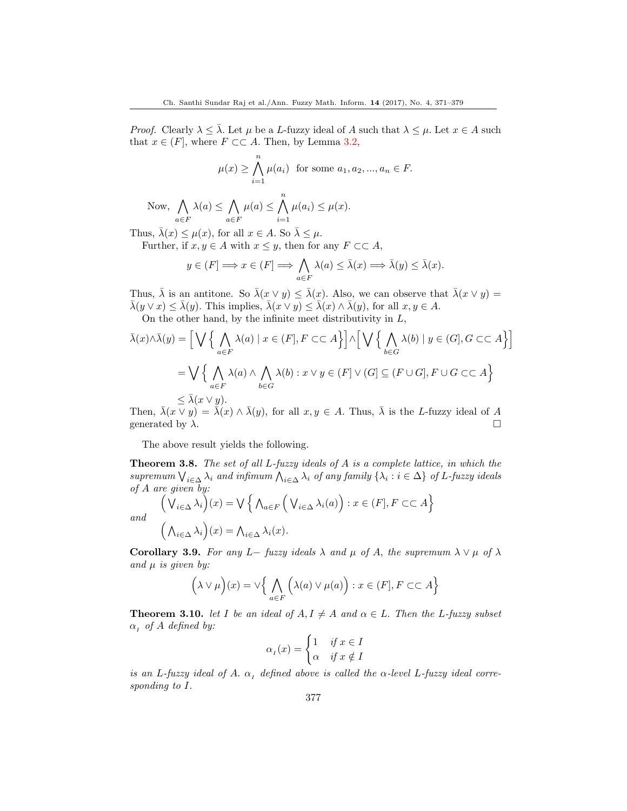*Proof.* Clearly  $\lambda \leq \overline{\lambda}$ . Let  $\mu$  be a L-fuzzy ideal of A such that  $\lambda \leq \mu$ . Let  $x \in A$  such that  $x \in (F]$ , where  $F \subset\subset A$ . Then, by Lemma 3.2,

$$
\mu(x) \ge \bigwedge_{i=1}^{n} \mu(a_i) \text{ for some } a_1, a_2, ..., a_n \in F.
$$

Now, 
$$
\bigwedge_{a \in F} \lambda(a) \le \bigwedge_{a \in F} \mu(a) \le \bigwedge_{i=1}^{\infty} \mu(a_i) \le \mu(x)
$$
.

Thus,  $\bar{\lambda}(x) \leq \mu(x)$ , for all  $x \in A$ . So  $\bar{\lambda} \leq \mu$ . Further, if  $x, y \in A$  with  $x \leq y$ , then for any  $F \subset \subset A$ ,

$$
y \in (F] \Longrightarrow x \in (F] \Longrightarrow \bigwedge_{a \in F} \lambda(a) \leq \bar{\lambda}(x) \Longrightarrow \bar{\lambda}(y) \leq \bar{\lambda}(x).
$$

Thus,  $\bar{\lambda}$  is an antitone. So  $\bar{\lambda}(x \vee y) \leq \bar{\lambda}(x)$ . Also, we can observe that  $\bar{\lambda}(x \vee y) =$  $\bar{\lambda}(y \vee x) \leq \bar{\lambda}(y)$ . This implies,  $\bar{\lambda}(x \vee y) \leq \bar{\lambda}(x) \wedge \bar{\lambda}(y)$ , for all  $x, y \in A$ . On the other hand, by the infinite meet distributivity in  $L$ ,

$$
\bar{\lambda}(x) \wedge \bar{\lambda}(y) = \Big[ \bigvee \Big\{ \bigwedge_{a \in F} \lambda(a) \mid x \in (F], F \subset\subset A \Big\} \Big] \wedge \Big[ \bigvee \Big\{ \bigwedge_{b \in G} \lambda(b) \mid y \in (G], G \subset\subset A \Big\} \Big]
$$
  
=  $\bigvee \Big\{ \bigwedge_{a \in F} \lambda(a) \wedge \bigwedge_{b \in G} \lambda(b) : x \vee y \in (F] \vee (G] \subseteq (F \cup G], F \cup G \subset\subset A \Big\}$   
 $\leq \bar{\lambda}(x \vee y).$ 

Then,  $\bar{\lambda}(x \vee y) = \bar{\lambda}(x) \wedge \bar{\lambda}(y)$ , for all  $x, y \in A$ . Thus,  $\bar{\lambda}$  is the L-fuzzy ideal of A generated by  $\lambda$ .

The above result yields the following.

**Theorem 3.8.** The set of all  $L$ -fuzzy ideals of  $A$  is a complete lattice, in which the supremum  $\bigvee_{i\in\Delta}\lambda_i$  and infimum  $\bigwedge_{i\in\Delta}\lambda_i$  of any family  $\{\lambda_i : i\in\Delta\}$  of L-fuzzy ideals of A are given by:

$$
\left(\bigvee_{i\in\Delta}\lambda_i\right)(x) = \bigvee\left\{\bigwedge_{a\in F}\left(\bigvee_{i\in\Delta}\lambda_i(a)\right) : x\in(F], F\subset\subset A\right\}
$$
  
and  

$$
\left(\bigwedge_{i\in\Delta}\lambda_i\right)(x) = \bigwedge_{i\in\Delta}\lambda_i(x).
$$

Corollary 3.9. For any L– fuzzy ideals  $\lambda$  and  $\mu$  of A, the supremum  $\lambda \vee \mu$  of  $\lambda$ and  $\mu$  is given by:

$$
(\lambda \vee \mu)(x) = \vee \Big{\}bigwedge_{a \in F} (\lambda(a) \vee \mu(a)) : x \in (F], F \subset\subset A \Big}
$$

**Theorem 3.10.** let I be an ideal of  $A, I \neq A$  and  $\alpha \in L$ . Then the L-fuzzy subset  $\alpha_i$  of A defined by:

$$
\alpha_I(x) = \begin{cases} 1 & \text{if } x \in I \\ \alpha & \text{if } x \notin I \end{cases}
$$

is an L-fuzzy ideal of A.  $\alpha$ , defined above is called the  $\alpha$ -level L-fuzzy ideal corresponding to I.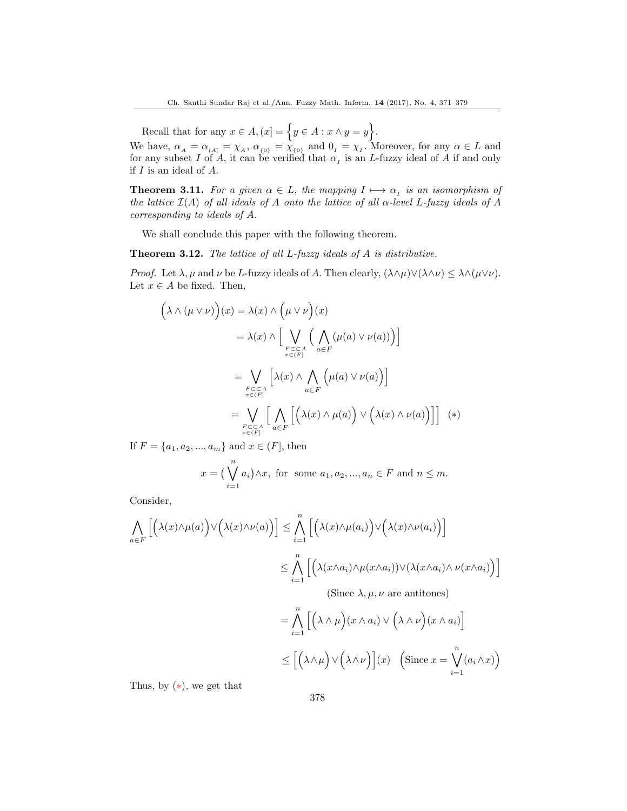Recall that for any  $x \in A$ ,  $(x) = \{y \in A : x \wedge y = y\}.$ 

We have,  $\alpha_A = \alpha_{(A)} = \chi_A$ ,  $\alpha_{\{0\}} = \chi_{\{0\}}$  and  $0_I = \chi_I$ . Moreover, for any  $\alpha \in L$  and for any subset I of A, it can be verified that  $\alpha<sub>I</sub>$  is an L-fuzzy ideal of A if and only if I is an ideal of A.

**Theorem 3.11.** For a given  $\alpha \in L$ , the mapping  $I \mapsto \alpha_I$  is an isomorphism of the lattice  $\mathcal{I}(A)$  of all ideals of A onto the lattice of all  $\alpha$ -level L-fuzzy ideals of A corresponding to ideals of A.

We shall conclude this paper with the following theorem.

Theorem 3.12. The lattice of all L-fuzzy ideals of A is distributive.

*Proof.* Let  $\lambda, \mu$  and  $\nu$  be L-fuzzy ideals of A. Then clearly,  $(\lambda \wedge \mu) \vee (\lambda \wedge \nu) \leq \lambda \wedge (\mu \vee \nu)$ . Let  $x \in A$  be fixed. Then,

$$
\left(\lambda \wedge (\mu \vee \nu)\right)(x) = \lambda(x) \wedge \left(\mu \vee \nu\right)(x)
$$

$$
= \lambda(x) \wedge \left[\bigvee_{\substack{F \subset \subset A \\ x \in (F)}} \left(\bigwedge_{a \in F} (\mu(a) \vee \nu(a))\right)\right]
$$

$$
= \bigvee_{\substack{F \subset \subset A \\ x \in (F)}} \left[\lambda(x) \wedge \bigwedge_{a \in F} \left(\mu(a) \vee \nu(a)\right)\right]
$$

$$
= \bigvee_{\substack{F \subset \subset A \\ x \in (F)}} \left[\bigwedge_{a \in F} \left[\left(\lambda(x) \wedge \mu(a)\right) \vee \left(\lambda(x) \wedge \nu(a)\right)\right]\right] (*)
$$

If  $F = \{a_1, a_2, ..., a_m\}$  and  $x \in (F]$ , then

$$
x = \left(\bigvee_{i=1}^{n} a_i\right) \wedge x, \text{ for some } a_1, a_2, \dots, a_n \in F \text{ and } n \leq m.
$$

Consider,

$$
\bigwedge_{a \in F} \left[ \left( \lambda(x) \wedge \mu(a) \right) \vee \left( \lambda(x) \wedge \nu(a) \right) \right] \leq \bigwedge_{i=1}^{n} \left[ \left( \lambda(x) \wedge \mu(a_i) \right) \vee \left( \lambda(x) \wedge \nu(a_i) \right) \right]
$$
  

$$
\leq \bigwedge_{i=1}^{n} \left[ \left( \lambda(x \wedge a_i) \wedge \mu(x \wedge a_i) \vee (\lambda(x \wedge a_i) \wedge \nu(x \wedge a_i)) \right) \right]
$$
  
(Since  $\lambda, \mu, \nu$  are antitones)  

$$
= \bigwedge_{i=1}^{n} \left[ \left( \lambda \wedge \mu \right) (x \wedge a_i) \vee \left( \lambda \wedge \nu \right) (x \wedge a_i) \right]
$$
  

$$
\leq \left[ \left( \lambda \wedge \mu \right) \vee \left( \lambda \wedge \nu \right) \right] (x) \quad \text{(Since } x = \bigvee^{n} (a_i \wedge x))
$$

Thus, by  $(*),$  we get that

 $i=1$